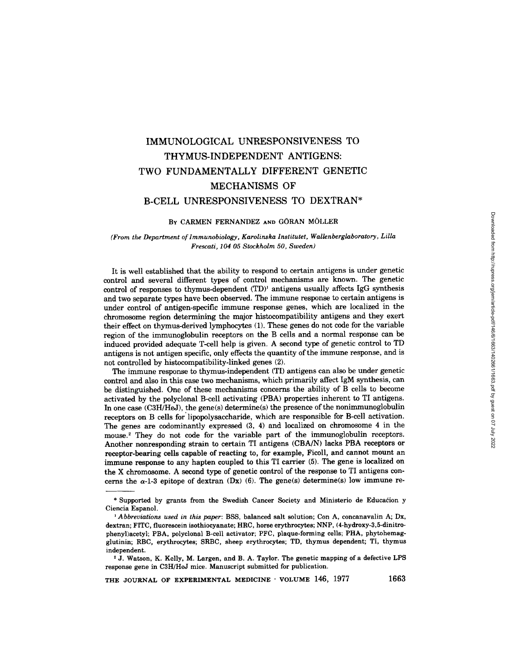# **IMMUNOLOGICAL UNRESPONSIVENESS TO THYMUS-INDEPENDENT ANTIGENS: TWO FUNDAMENTALLY DIFFERENT GENETIC MECHANISMS OF B-CELL UNRESPONSIVENESS TO DEXTRAN\***

#### **BY CARMEN FERNANDEZ AND GORAN MOLLER**

## *(From the Department of lmmunobiology, Karolinska Institutet, Wallenberglaboratory, Lilla Frescati, 104 05 Stockholm 50, Sweden)*

It is well established that the ability to respond to certain antigens is under genetic control and several different types of control mechanisms are known. The genetic control of responses to thymus-dependent (TD)<sup>1</sup> antigens usually affects IgG synthesis and two separate types have been observed. The immune response to certain antigens is under control of antigen-specific immune response genes, which are localized in the chromosome region determining the major histocompatibility antigens and they exert their effect on thymus-derived lymphocytes (1). These genes do not code for the variable region of the immunoglobulin receptors on the B cells and a normal response can be induced provided adequate T-cell help is given. A second type of genetic control to TD antigens is not antigen specific, only effects the quantity of the immune response, and is not controlled by histocompatibility-linked genes (2).

The immune response to thymus-independent (TI) antigens can also be under genetic control and also in this case two mechanisms, which primarily affect IgM synthesis, can be distinguished. One of these mechanisms concerns the ability of B cells to become activated by the polyclonal B-cell activating (PBA) properties inherent to TI antigens. In one case (C3H/HeJ), the gene(s) determine(s) the presence of the nonimmunoglobulin receptors on B cells for' lipopolysaccharide, which are responsible for B-cell activation. The genes are codominantly expressed (3, 4) and localized on chromosome 4 in the mouse.<sup>2</sup> They do not code for the variable part of the immunoglobulin receptors. Another nonresponding strain to certain TI antigens (CBA/N) lacks PBA receptors or receptor-bearing cells capable of reacting to, for example, Ficoll, and cannot mount an immune response to any hapten coupled to this TI carrier (5). The gene is localized on the X chromosome. A second type of genetic control of the response to TI antigens concerns the  $\alpha$ -1-3 epitope of dextran (Dx) (6). The gene(s) determine(s) low immune re-

THE JOURNAL OF EXPERIMENTAL MEDICINE · VOLUME 146, 1977 1663

<sup>\*</sup> Supported by grants from the Swedish Cancer Society and Ministerio de Educadion y Ciencia Espanol.

*<sup>1</sup> Abbreviations used in this paper:* BSS, balanced salt solution; Con A, concanavalin A; Dx, dextran; FITC, fluorescein isothiocyanate; HRC, horse erythrocytes; NNP, (4-hydroxy-3,5-dinitrophenyl)acetyl; PBA, polyclonal B-cell activator; PFC, plaque-forming cells; PHA, phytohemagglutinin; RBC, erythrocytes; SRBC, sheep erythrocytes; TD, thymus dependent; TI, thymus independent.

<sup>2</sup> j. Watson, K. Kelly, M. Largen, and B. A. Taylor. The genetic mapping of a defective **LPS**  response gene in C3H/HeJ mice. Manuscript submitted for publication.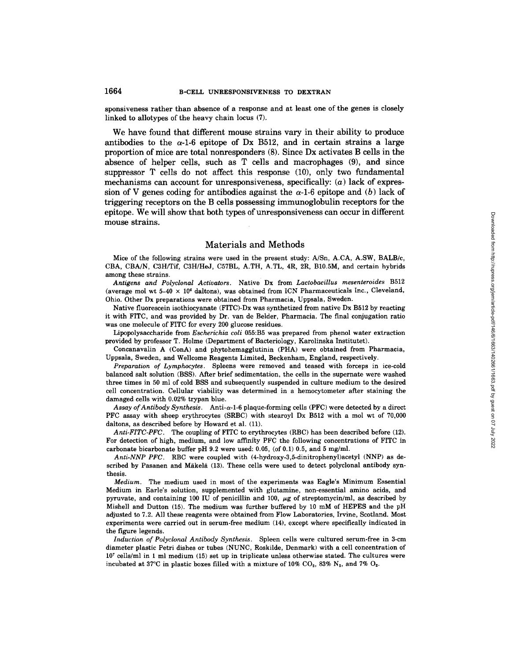sponsiveness rather than absence of a response and at least one of the genes is closely linked to allotypes of the heavy chain locus (7),

We have found that different mouse strains vary in their ability to produce antibodies to the  $\alpha$ -1-6 epitope of Dx B512, and in certain strains a large proportion of mice are total nonresponders (8). Since Dx activates B cells in the absence of helper cells, such as T cells and macrophages (9), and since suppressor T cells do not affect this response (10), only two fundamental mechanisms can account for unresponsiveness, specifically:  $(a)$  lack of expression of V genes coding for antibodies against the  $\alpha$ -1-6 epitope and (b) lack of triggering receptors on the B cells possessing immunoglobulin receptors for the epitope. We will show that both types of unresponsiveness can occur in different mouse strains.

#### Materials and Methods

Mice of the following strains were used in the present study: A/Sn, A.CA, A.SW, BALB/c, CBA, CBA/N, C3H/Tif, C3H/HeJ, C57BL, A.TH, A.TL, 4R, 2R, B10.5M, and certain hybrids among these strains.

*Antigens and Polyclonal Activators.* Native Dx from *Lactobacillus mesenteroides* B512 (average mol wt  $5-40 \times 10^6$  daltons), was obtained from ICN Pharmaceuticals Inc., Cleveland, Ohio. Other Dx preparations were obtained from Pharmacia, Uppsala, Sweden.

Native fluorescein isothiocyanate (FITC)-Dx was synthetized from native Dx B512 by reacting it with FITC, and was provided by Dr. van de Belder, Pharmacia. The final conjugation ratio was one molecule of FITC for every 200 glucose residues.

Lipopolysaccharide from *Escherichia coli* 055:B5 was prepared from phenol water extraction provided by professor T. Holme (Department of Bacteriology, Karolinska Institutet).

Concanavalin A (ConA) and phytohemagglutinin (PHA) were obtained from Pharmacia, Uppsala, Sweden, and Wellcome Reagents Limited, Beckenham, England, respectively.

*Preparation of Lymphocytes.* Spleens were removed and teased with forceps in ice-cold balanced salt solution (BSS). After brief sedimentation, the cells in the supernate were washed three times in 50 ml of cold BSS and subsequently suspended in culture medium to the desired cell concentration. Cellular viability was determined in a hemocytometer after staining the damaged cells with 0.02% trypan blue.

*Assay of Antibody Synthesis.* Anti-a-l-6 plaque-forming cells (PFC) were detected by a direct PFC assay with sheep erythrocytes (SRBC) with stearoyl Dx B512 with a mol wt of 70,000 daltons, as described before by Howard et al. (11).

*Anti-FITC-PFC.* The coupling of FITC to erythrocytes (RBC) has been described before (12). For detection of high, medium, and low affinity PFC the following concentrations of FITC in carbonate bicarbonate buffer pH 9.2 were used: 0.05, (of 0.1) 0.5, and 5 mg/ml.

*Anti-NNP PFC.* RBC were coupled with (4-hydroxy-3,5-dinitrophenyl)acetyl (NNP) as described by Pasanen and Mäkelä (13). These cells were used to detect polyclonal antibody synthesis.

*Medium.* The medium used in most of the experiments was Eagle's Minimum Essential Medium in Earle's solution, supplemented with glutamine, non-essential amino acids, and pyruvate, and containing 100 IU of penicillin and 100,  $\mu$ g of streptomycin/ml, as described by Mishell and Dutton (15). The medium was further buffered by 10 mM of HEPES and the pH adjusted to 7.2. All these reagents were obtained from Flow Laboratories, Irvine, Scotland. Most experiments were carried out in serum-free medium (14), except where specifically indicated in the figure legends.

*Induction of Polyclonal Antibody Synthesis.* Spleen cells were cultured serum-free in 3-cm diameter plastic Petri dishes or tubes (NUNC, Roskilde, Denmark) with a cell concentration of  $10<sup>7</sup>$  cells/ml in 1 ml medium (15) set up in triplicate unless otherwise stated. The cultures were incubated at 37°C in plastic boxes filled with a mixture of 10% CO<sub>2</sub>, 83% N<sub>2</sub>, and 7% O<sub>2</sub>.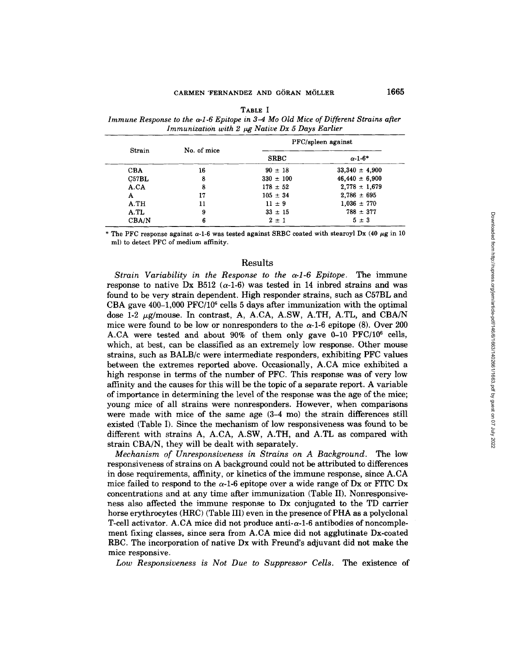| <b>Strain</b> |             | PFC/spleen against |                    |  |
|---------------|-------------|--------------------|--------------------|--|
|               | No. of mice | <b>SRBC</b>        | $\alpha$ -1-6*     |  |
| <b>CBA</b>    | 16          | $90 \pm 18$        | $33,340 \pm 4,900$ |  |
| C57BL         | 8           | $330 \pm 100$      | $46,440 \pm 6,900$ |  |
| A.CA          | 8           | $178 \pm 52$       | $2,778 \pm 1,679$  |  |
| A             | 17          | $105 \pm 34$       | $2.786 \pm 695$    |  |
| A.TH          | 11          | $11 \pm 9$         | $1,036 \pm 770$    |  |
| A.TL          | 9           | $33 \pm 15$        | $788 \pm 377$      |  |
| CBA/N         | 6           | $2 \pm 1$          | $5 \pm 3$          |  |

**TABLE I**  *Immune Response to the a-1-6 Epitope in 3-4 Mo Old Mice of Different Strains after*  Immunization with 2  $\mu$ g Native Dx 5 Days Earlier

\* The PFC response against  $\alpha$ -1-6 was tested against SRBC coated with stearoyl Dx (40  $\mu$ g in 10 ml) to detect PFC of medium affinity.

## Results

*Strain Variability in the Response to the*  $\alpha$ *-1-6 Epitope.* The immune response to native Dx B512  $(\alpha-1-6)$  was tested in 14 inbred strains and was found to be very strain dependent. High responder strains, such as C57BL and CBA gave 400-1,000 PFC/106 cells 5 days after immunization with the optimal dose 1-2  $\mu$ g/mouse. In contrast, A, A.CA, A.SW, A.TH, A.TL, and CBA/N mice were found to be low or nonresponders to the  $\alpha$ -1-6 epitope (8). Over 200 A.CA were tested and about  $90\%$  of them only gave 0-10 PFC/10<sup>6</sup> cells, which, at best, can be classified as an extremely low response. Other mouse strains, such as BALB/c were intermediate responders, exhibiting PFC values between the extremes reported above. Occasionally, A.CA mice exhibited a high response in terms of the number of PFC. This response was of very low affinity and the causes for this will be the topic of a separate report. A variable of importance in determining the level of the response was the age of the mice; young mice of all strains were nonresponders. However, when comparisons were made with mice of the same age (3-4 mo) the strain differences still existed (Table I). Since the mechanism of low responsiveness was found to be different with strains A, A.CA, A.SW, A.TH, and A.TL as compared with strain CBA/N, they will be dealt with separately.

*Mechanism of Unresponsiveness in Strains on A Background.* The low responsiveness of strains on A background could not be attributed to differences in dose requirements, affinity, or kinetics of the immune response, since A.CA mice failed to respond to the  $\alpha$ -1-6 epitope over a wide range of Dx or FITC Dx concentrations and at any time after immunization (Table II). Nonresponsivehess also affected the immune response to Dx conjugated to the TD carrier horse erythrocytes (HRC) (Table III) even in the presence of PHA as a polyclonal T-cell activator. A.CA mice did not produce anti- $\alpha$ -1-6 antibodies of noncomplement fixing classes, since sera from A.CA mice did not agglutinate Dx-coated RBC. The incorporation of native Dx with Freund's adjuvant did not make the mice responsive.

*Low Responsiveness is Not Due to Suppressor Cells.* The existence of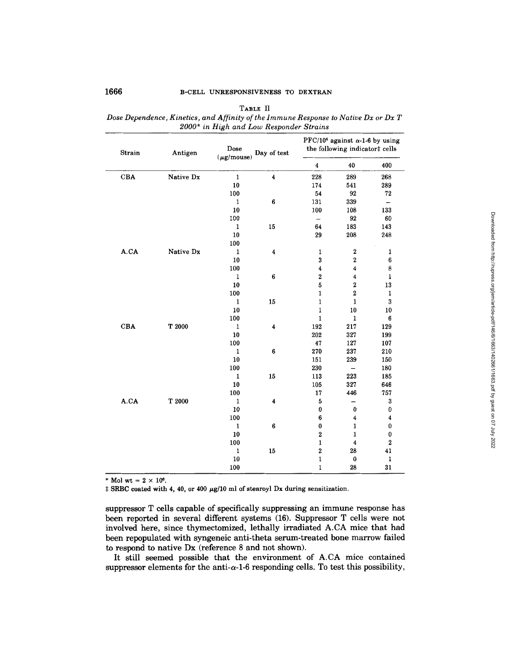| Strain | Antigen   | Dose<br>$(\mu$ g/mouse) | Day of test      | PFC/10 <sup>6</sup> against $\alpha$ -1-6 by using<br>the following indicator‡ cells |                         |                  |
|--------|-----------|-------------------------|------------------|--------------------------------------------------------------------------------------|-------------------------|------------------|
|        |           |                         |                  | $\boldsymbol{4}$                                                                     | 40                      | 400              |
| CBA    | Native Dx | $\mathbf 1$             | $\boldsymbol{4}$ | 228                                                                                  | 289                     | 268              |
|        |           | ${\bf 10}$              |                  | 174                                                                                  | 541                     | 289              |
|        |           | 100                     |                  | 54                                                                                   | 92                      | 72               |
|        |           | $\mathbf 1$             | $\bf 6$          | 131                                                                                  | 339                     | -                |
|        |           | 10                      |                  | 100                                                                                  | 108                     | 133              |
|        |           | 100                     |                  | $\qquad \qquad -$                                                                    | 92                      | 60               |
|        |           | $\mathbf 1$             | $15\,$           | 64                                                                                   | 183                     | 143              |
|        |           | 10                      |                  | 29                                                                                   | 208                     | 248              |
|        |           | 100                     |                  |                                                                                      |                         |                  |
| A.CA   | Native Dx | $\mathbf 1$             | 4                | $\mathbf 1$                                                                          | $\boldsymbol{2}$        | $\mathbf{1}$     |
|        |           | 10                      |                  | 3                                                                                    | $\bf{2}$                | 6                |
|        |           | 100                     |                  | $\boldsymbol{4}$                                                                     | $\overline{\bf 4}$      | 8                |
|        |           | $\mathbf{1}$            | $\bf 6$          | $\bf{2}$                                                                             | $\bf{4}$                | 1                |
|        |           | 10                      |                  | 5                                                                                    | $\overline{\mathbf{2}}$ | 13               |
|        |           | 100                     |                  | $\mathbf{1}$                                                                         | $\overline{\mathbf{2}}$ | $\mathbf{1}$     |
|        |           | $\mathbf{1}$            | 15               | $\mathbf 1$                                                                          | $\mathbf{1}$            | 3                |
|        |           | 10                      |                  | $\mathbf 1$                                                                          | 10                      | 10               |
|        |           | 100                     |                  | $\mathbf{1}$                                                                         | $\mathbf 1$             | 6                |
| CBA    | T2000     | $\mathbf 1$             | 4                | 192                                                                                  | 217                     | 129              |
|        |           | 10                      |                  | 202                                                                                  | 327                     | 199              |
|        |           | 100                     |                  | 47                                                                                   | 127                     | 107              |
|        |           | 1                       | 6                | 270                                                                                  | 237                     | 210              |
|        |           | 10                      |                  | 151                                                                                  | 239                     | 150              |
|        |           | 100                     |                  | 230                                                                                  | $\qquad \qquad -$       | 180              |
|        |           | $\mathbf{1}$            | 15               | 113                                                                                  | 223                     | 185              |
|        |           | 10                      |                  | 105                                                                                  | 327                     | 646              |
|        |           | 100                     |                  | 17                                                                                   | 446                     | 757              |
| A.CA   | T 2000    | $\mathbf 1$             | 4                | 5                                                                                    | —                       | 3                |
|        |           | 10                      |                  | $\pmb{0}$                                                                            | $\pmb{0}$               | 0                |
|        |           | 100                     |                  | 6                                                                                    | $\overline{\mathbf{4}}$ | $\boldsymbol{4}$ |
|        |           | $\mathbf{1}$            | $\bf{6}$         | $\pmb{0}$                                                                            | $\mathbf{1}$            | $\bf{0}$         |
|        |           | 10                      |                  | $\bf 2$                                                                              | $\mathbf{1}$            | 0                |
|        |           | 100                     |                  | $\mathbf{1}$                                                                         | $\bf 4$                 | $\bf 2$          |
|        |           | $\mathbf 1$             | 15               | $\overline{\mathbf{2}}$                                                              | 28                      | 41               |
|        |           | ${\bf 10}$              |                  | $\mathbf{1}$                                                                         | $\bf{0}$                | 1                |
|        |           | 100                     |                  | $\mathbf 1$                                                                          | 28                      | 31               |

TABLE II *Dose Dependence, Kinetics, and Affinity of the lmmune Response to Native Dx or Dx T 2000\* in High and Low Responder Strains* 

\* Mol wt =  $2 \times 10^6$ .

 $\ddagger$  SRBC coated with 4, 40, or 400  $\mu$ g/10 ml of stearoyl Dx during sensitization.

suppressor T cells capable of specifically suppressing an immune response has been reported in several different systems (16). Suppressor T cells were not involved here, since thymectomized, lethally irradiated A.CA mice that had been repopulated with syngeneic anti-theta serum-treated bone marrow failed to respond to native Dx (reference 8 and not shown).

It still seemed possible that the environment of A.CA mice contained suppressor elements for the anti- $\alpha$ -1-6 responding cells. To test this possibility,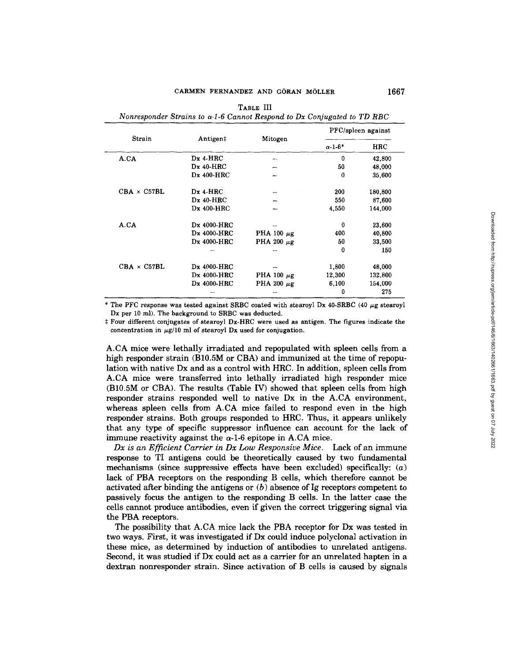|                    |             |                 | PFC/spleen against |            |
|--------------------|-------------|-----------------|--------------------|------------|
| Strain             | Antigen‡    | Mitogen         | $\alpha$ -1-6*     | <b>HRC</b> |
| A.CA               | $Dx$ 4-HRC  | ÷               | $\mathbf{0}$       | 42,800     |
|                    | $Dx$ 40-HRC |                 | 50                 | 48,000     |
|                    | Dx 400-HRC  |                 | $\bf{0}$           | 35,600     |
| $CBA \times C57BL$ | $Dx$ 4-HRC  |                 | 200                | 180,800    |
|                    | $Dx$ 40-HRC |                 | 550                | 87,600     |
|                    | Dx 400-HRC  |                 | 4,550              | 144,000    |
| A.CA               | Dx 4000-HRC |                 | 0                  | 23,600     |
|                    | Dx 4000-HRC | PHA 100 $\mu$ g | 400                | 40,800     |
|                    | Dx 4000-HRC | PHA 200 $\mu$ g | 50                 | 33,500     |
|                    |             |                 | 0                  | 150        |
| $CBA \times C57BL$ | Dx 4000-HRC |                 | 1,800              | 48,000     |
|                    | Dx 4000-HRC | PHA 100 $\mu$ g | 12,300             | 132,800    |
|                    | Dx 4000-HRC | PHA 200 $\mu$ g | 6,100              | 154,000    |
|                    |             |                 | 0                  | 275        |

**TABLE** III

\* The PFC response was tested against SRBC coated with stearoyl Dx 40-SRBC (40  $\mu$ g stearoyl Dx per 10 ml). The background to SRBC was deducted.

# Four different conjugates of stearoyl Dx-HRC were used as antigen. The figures indicate the concentration in  $\mu$ g/10 ml of stearoyl Dx used for conjugation.

A.CA mice were lethally irradiated and repopulated with spleen cells from a high responder strain (B10.5M or CBA) and immunized at the time of repopulation with native Dx and as a control with HRC. In addition, spleen cells from A.CA mice were transferred into lethally irradiated high responder mice (B10.5M or CBA). The results (Table IV) showed that spleen cells from high responder strains responded well to native Dx in the A.CA environment, whereas spleen cells from A.CA mice failed to respond even in the high responder strains. Both groups responded to HRC. Thus, it appears unlikely that any type of specific suppressor influence can account for the lack of immune reactivity against the  $\alpha$ -1-6 epitope in A.CA mice.

*Dx is an Efficient Carrier in Dx Low Responsive Mice.* Lack of an immune response to TI antigens could be theoretically caused by two fundamental mechanisms (since suppressive effects have been excluded) specifically:  $(a)$ lack of PBA receptors on the responding B cells, which therefore cannot be activated after binding the antigens or  $(b)$  absence of Ig receptors competent to passively focus the antigen to the responding B cells. In the latter case the cells cannot produce antibodies, even if given the correct triggering signal via the PBA receptors.

The possibility that A.CA mice lack the PBA receptor for Dx was tested in two ways. First, it was investigated if Dx could induce polyclonal activation in these mice, as determined by induction of antibodies to unrelated antigens. Second, it was studied if Dx could act as a carrier for an unrelated hapten in a dextran nonresponder strain. Since activation of B cells is caused by signals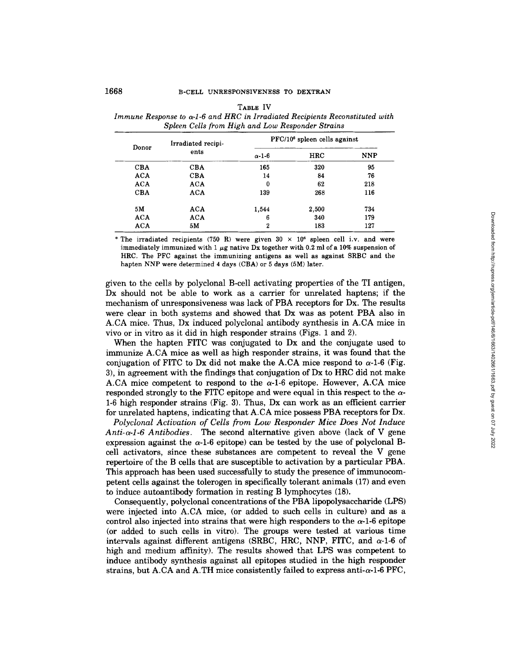| Donor      | Irradiated recipi-<br>ents | $PFC/106$ spleen cells against |       |            |  |
|------------|----------------------------|--------------------------------|-------|------------|--|
|            |                            | $\alpha$ -1-6                  | HRC   | <b>NNP</b> |  |
| <b>CBA</b> | <b>CBA</b>                 | 165                            | 320   | 95         |  |
| <b>ACA</b> | <b>CBA</b>                 | 14                             | 84    | 76         |  |
| <b>ACA</b> | ACA                        | 0                              | 62    | 218        |  |
| <b>CBA</b> | ACA                        | 139                            | 268   | 116        |  |
| 5M         | ACA                        | 1.544                          | 2,500 | 734        |  |
| <b>ACA</b> | ACA                        | 6                              | 340   | 179        |  |
| ACA        | 5M                         | 2                              | 183   | 127        |  |

**TABLE** IV *lmmune Response to a-1-6 and HRC in Irradiated Recipients Reconstituted with Spleen Cells from High and Low Responder Strains* 

\* The irradiated recipients (750 R) were given  $30 \times 10^6$  spleen cell i.v. and were immediately immunized with 1  $\mu$ g native Dx together with 0.2 ml of a 10% suspension of HRC. The PFC against the immunizing antigens as well as against SRBC and the hapten NNP were determined 4 days (CBA) or 5 days (5M) later.

given to the cells by polyclonal B-cell activating properties of the TI antigen, Dx should not be able to work as a carrier for unrelated haptens; if the mechanism of unresponsiveness was lack of PBA receptors for Dx. The results were clear in both systems and showed that Dx was as potent PBA also in A.CA mice. Thus, Dx induced polyclonal antibody synthesis in A.CA mice in vivo or in vitro as it did in high responder strains (Figs. 1 and 2).

When the hapten FITC was conjugated to Dx and the conjugate used to immunize A.CA mice as well as high responder strains, it was found that the conjugation of FITC to Dx did not make the A.CA mice respond to  $\alpha$ -1-6 (Fig. 3), in agreement with the findings that conjugation of Dx to HRC did not make A.CA mice competent to respond to the  $\alpha$ -1-6 epitope. However, A.CA mice responded strongly to the FITC epitope and were equal in this respect to the  $\alpha$ -1-6 high responder strains (Fig. 3). Thus, Dx can work as an efficient carrier for unrelated haptens, indicating that A.CA mice possess PBA receptors for Dx.

*Polyclonal Activation of Cells from Low Responder Mice Does Not Induce Anti-a-l-6 Antibodies.* The second alternative given above (lack of V gene expression against the  $\alpha$ -1-6 epitope) can be tested by the use of polyclonal Bcell activators, since these substances are competent to reveal the V gene repertoire of the B cells that are susceptible to activation by a particular PBA. This approach has been used successfully to study the presence of immunocompetent cells against the tolerogen in specifically tolerant animals (17) and even to induce autoantibody formation in resting B lymphocytes (18).

Consequently, polyclonal concentrations of the PBA lipopolysaccharide (LPS) were injected into A.CA mice, (or added to such cells in culture) and as a control also injected into strains that were high responders to the  $\alpha$ -1-6 epitope (or added to such cells in vitro). The groups were tested at various time intervals against different antigens (SRBC, HRC, NNP, FITC, and  $\alpha$ -1-6 of high and medium affinity). The results showed that LPS was competent to induce antibody synthesis against all epitopes studied in the high responder strains, but A.CA and A.TH mice consistently failed to express anti- $\alpha$ -1-6 PFC,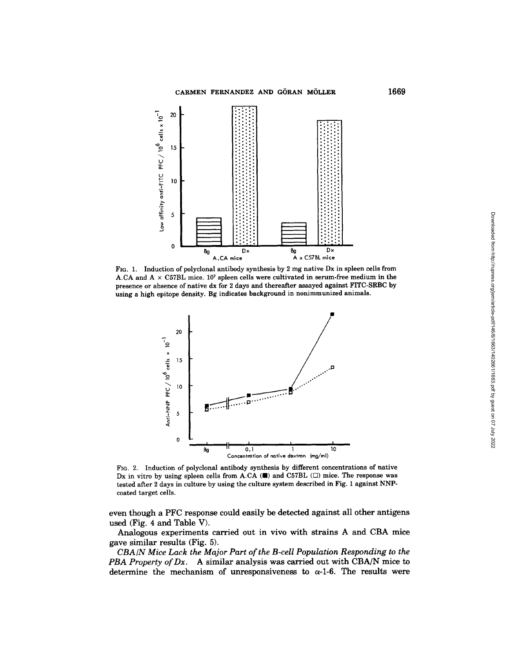

FIG. 1. induction of polyclonal antibody synthesis by 2 mg native Dx in spleen cells from A.CA and  $A \times C57BL$  mice. 10<sup>7</sup> spleen cells were cultivated in serum-free medium in the presence or absence of native dx for 2 days and thereafter assayed against F1TC-SRBC by using a high epitope density. Bg indicates background in nonimmunized animals.



FIG. 2. Induction of polyclonal antibody synthesis by different concentrations of native Dx in vitro by using spleen cells from A.CA  $(\blacksquare)$  and C57BL  $(\square)$  mice. The response was tested after 2 days in culture by using the culture system described in Fig. 1 against NNPcoated target cells.

even though a PFC response could easily be detected against all other antigens used (Fig. 4 and Table V).

Analogous experiments carried out in vivo with strains A and CBA mice gave similar results (Fig. 5).

*CBA/N Mice Lack the Major Part of the B-cell Population Responding to the PBA Property of Dx.* A similar analysis was carried out with CBA/N mice to determine the mechanism of unresponsiveness to  $\alpha$ -1-6. The results were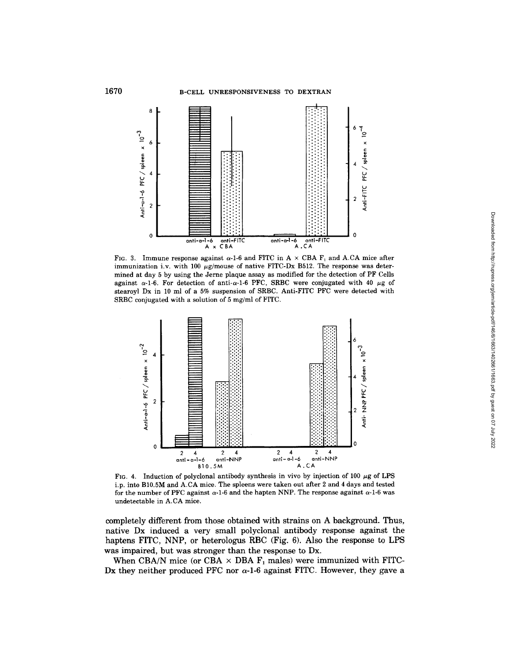

FIG. 3. Immune response against  $\alpha$ -1-6 and FITC in A  $\times$  CBA F<sub>1</sub> and A.CA mice after immunization i.v. with 100  $\mu$ g/mouse of native FITC-Dx B512. The response was determined at day 5 by using the Jerne plaque assay as modified for the detection of PF Cells against  $\alpha$ -1-6. For detection of anti- $\alpha$ -1-6 PFC, SRBC were conjugated with 40  $\mu$ g of stearoyl Dx in 10 ml of a 5% suspension of SRBC. Anti-FITC PFC were detected with SRBC conjugated with a solution of 5 mg/ml of FITC.



FIG. 4. Induction of polyclonal antibody synthesis in vivo by injection of 100  $\mu$ g of LPS i.p. into B10.5M and A.CA mice. The spleens were taken out after 2 and 4 days and tested for the number of PFC against  $\alpha$ -1-6 and the hapten NNP. The response against  $\alpha$ -1-6 was undetectable in A.CA mice.

**completely different from those obtained with strains on A background. Thus, native Dx induced a very small polyclonal antibody response against the haptens FITC, NNP, or heterologus RBC (Fig. 6). Also the response to LPS was impaired, but was stronger than the response to Dx.** 

When CBA/N mice (or CBA  $\times$  DBA  $F_1$  males) were immunized with FITC-Dx they neither produced PFC nor  $\alpha$ -1-6 against FITC. However, they gave a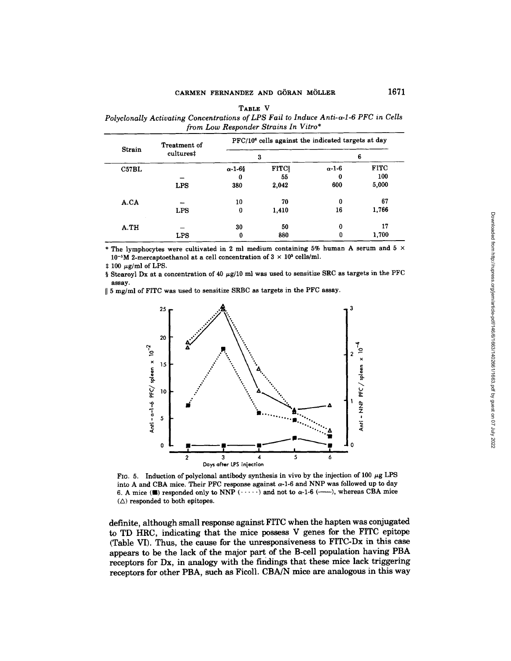| TARLE V                                                                                       |
|-----------------------------------------------------------------------------------------------|
| Polyclonally Activating Concentrations of LPS Fail to Induce Anti- $\alpha$ -1-6 PFC in Cells |
| from Low Responder Strains In Vitro*                                                          |

|        | Treatment of<br>cultures# | PFC/10 <sup>6</sup> cells against the indicated targets at day |                |               |             |  |
|--------|---------------------------|----------------------------------------------------------------|----------------|---------------|-------------|--|
| Strain |                           | 3                                                              |                | 6             |             |  |
| C57BL  |                           | $\alpha$ -1-68                                                 | $\mathbf{FTC}$ | $\alpha$ -1-6 | <b>FITC</b> |  |
|        |                           | 0                                                              | 55             | 0             | 100         |  |
|        | <b>LPS</b>                | 380                                                            | 2,042          | 600           | 5,000       |  |
| A.CA   |                           | 10                                                             | 70             | 0             | 67          |  |
|        | <b>LPS</b>                | 0                                                              | 1,410          | 16            | 1,766       |  |
| A.TH   |                           | 30                                                             | 50             | 0             | 17          |  |
|        | LPS                       | 0                                                              | 880            | 0             | 1,700       |  |

\* The lymphocytes were cultivated in 2 ml medium containing 5% human A serum and 5  $\times$  $10^{-5}$ M 2-mercaptoethanol at a cell concentration of  $3 \times 10^{5}$  cells/ml.

 $\pm$  100  $\mu$ g/ml of LPS.

§ Stearoyl Dx at a concentration of 40  $\mu$ g/10 ml was used to sensitize SRC as targets in the PFC assay.

II 5 mg/ml of FITC was used to sensitize SRBC as targets in the PFC assay.



FIG. 5. Induction of polyclonal antibody synthesis in vivo by the injection of 100  $\mu$ g LPS into A and CBA mice. Their PFC response against  $\alpha$ -1-6 and NNP was followed up to day 6. A mice ( $\blacksquare$ ) responded only to NNP  $(\cdots)$  and not to  $\alpha$ -1-6 (-----), whereas CBA mice  $(\triangle)$  responded to both epitopes.

definite, although small response against FITC when the hapten was conjugated to TD HRC, indicating that the mice possess V genes for the FITC epitope (Table VI). Thus, the cause for the unresponsiveness to FITC-Dx in this case appears to be the lack of the major part of the B-cell population having PBA receptors for Dx, in analogy with the findings that these mice lack triggering receptors for other PBA, such as Ficoll. CBA/N mice are analogous in this way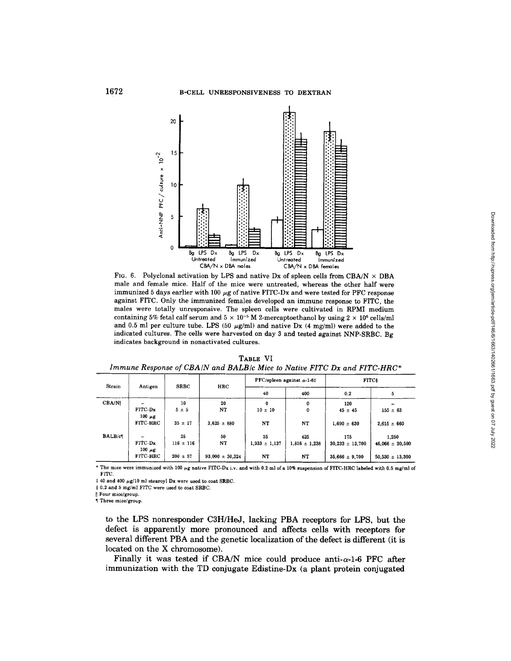

FIG. 6. Polyclonal activation by LPS and native Dx of spleen cells from CBA/N  $\times$  DBA **male and female mice. Half of the mice were untreated, whereas the other half were**  immunized 5 days earlier with 100  $\mu$ g of native FITC-Dx and were tested for PFC response **against FITC. Only the immunized females developed an immune response to FITC, the males were totally unresponsive. The spleen cells were cultivated in RPMI medium**  containing 5% fetal calf serum and  $5 \times 10^{-5}$  M 2-mercaptoethanol by using  $2 \times 10^{6}$  cells/ml and 0.5 ml per culture tube. LPS  $(50 \text{ µg/ml})$  and native Dx  $(4 \text{ mg/ml})$  were added to the **indicated cultures. The cells were harvested on day 3 and tested against NNP-SRBC. Bg indicates background in nonactivated cultures.** 

| Strain         | Antigen                | <b>SRBC</b>  | HRC                 | $PFC$ /spleen against $\alpha$ -1-6‡ |                   | <b>FITCs</b>        |                     |
|----------------|------------------------|--------------|---------------------|--------------------------------------|-------------------|---------------------|---------------------|
|                |                        |              |                     | 40                                   | 400               | 0.2                 | 5                   |
| CBA/N          |                        | 10           | 20                  | $\mathbf{0}$                         | 0                 | 120                 |                     |
|                | FITC-Dx<br>$100 \mu g$ | $5 \pm 5$    | NT.                 | $10 \pm 10$                          | 0                 | $45 \pm 45$         | $155 = 63$          |
|                | FITC HRC               | $35 \pm 17$  | $3.625 \pm 880$     | NT                                   | NT                | $1,690 = 630$       | $2.615 = 660$       |
| <b>BALB/cl</b> |                        | 25           | 50                  | 25                                   | 425               | 175                 | 1,250               |
|                | FITC-Dx<br>$100 \mu g$ | $116 = 116$  | NT                  | $1,933 \pm 1,137$                    | $1,816 \pm 1,238$ | $30,233 \pm 13,700$ | $46.066 \pm 20.500$ |
|                | FITC-HRC               | $200 \pm 57$ | $93,000 \pm 30,324$ | NT                                   | NT                | $35,666 \pm 9,700$  | $50.530 \pm 13.300$ |

TABLE VI *Immune Response of CBA/N and BALB/c Mice to Native FITC Dx and FITC-HRC\** 

\* The mice were immunized with 100  $\mu$ g native FITC-Dx i.v. and with 0.2 ml of a 10% suspension of FITC-HRC labeled with 0.5 mg/ml of FITC.

 $\ddagger$  40 and 400  $\mu$ g/10 ml stearoyl Dx were used to coat SRBC.

§ 0.2 and 5 mg/ml FITC were used to coat SRBC.

II Four mice/group.

¶ Three mice/group.

to the LPS nonresponder C3H/HeJ, lacking PBA receptors for LPS, but the defect is apparently more pronounced and affects cells with receptors for **several** different PBA and the genetic localization of the defect is different (it **is**  located on the X chromosome).

**Finally it was tested if CBA/N mice could produce anti-** $\alpha$ **-1-6 PFC after** immunization with the TD conjugate Edistine-Dx (a plant protein conjugated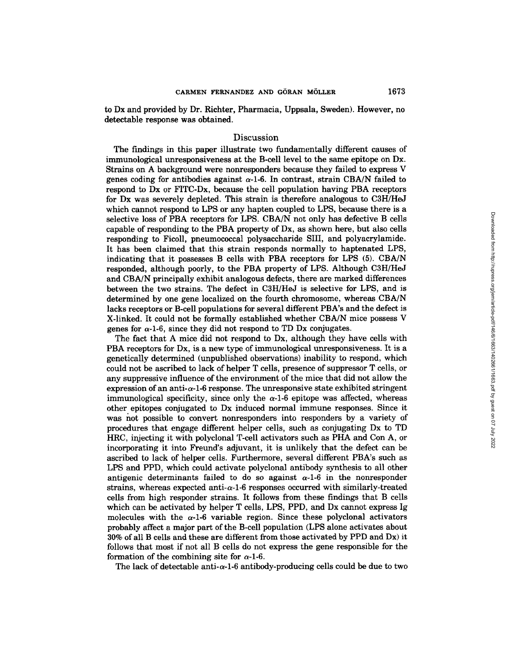to Dx and provided by Dr. Richter, Pharmacia, Uppsala, Sweden). However, no detectable response was obtained.

# Discussion

The findings in this paper illustrate two fundamentally different causes of immunological unresponsiveness at the B-cell level to the same epitope on Dx. Strains on A background were nonresponders because they failed to express V genes coding for antibodies against  $\alpha$ -1-6. In contrast, strain CBA/N failed to respond to Dx or FITC-Dx, because the ceil population having PBA receptors for Dx was severely depleted. This strain is therefore analogous to C3H/HeJ which cannot respond to LPS or any hapten coupled to LPS, because there is a selective loss of PBA receptors for LPS. CBA/N not only has defective B cells capable of responding to the PBA property of Dx, as shown here, but also cells responding to Ficoll, pneumococcal polysaccharide SIII, and polyacrylamide. It has been claimed that this strain responds normally to haptenated LPS, indicating that it possesses B cells with PBA receptors for LPS (5). CBA/N responded, although poorly, to the PBA property of LPS. Although C3H/HeJ and CBA/N principally exhibit analogous defects, there are marked differences between the two strains. The defect in C3H/HeJ is selective for LPS, and is determined by one gene localized on the fourth chromosome, whereas CBA/N lacks receptors or B-cell populations for several different PBA's and the defect is X-linked. It could not be formally established whether CBA/N mice possess V genes for  $\alpha$ -1-6, since they did not respond to TD Dx conjugates.

The fact that A mice did not respond to Dx, although they have cells with PBA receptors for Dx, is a new type of immunological unresponsiveness. It is a genetically determined (unpublished observations) inability to respond, which could not be ascribed to lack of helper T cells, presence of suppressor T cells, or any suppressive influence of the environment of the mice that did not allow the expression of an anti- $\alpha$ -1-6 response. The unresponsive state exhibited stringent immunological specificity, since only the  $\alpha$ -1-6 epitope was affected, whereas other epitopes conjugated to Dx induced normal immune responses. Since it was not possible to convert nonresponders into responders by a variety of procedures that engage different helper cells, such as conjugating Dx to TD HRC, injecting it with polyclonal T-cell activators such as PHA and Con A, or incorporating it into Freund's adjuvant, it is unlikely that the defect can be ascribed to lack of helper cells. Furthermore, several different PBA's such as LPS and PPD, which could activate polyclonal antibody synthesis to all other antigenic determinants failed to do so against  $\alpha$ -1-6 in the nonresponder strains, whereas expected anti- $\alpha$ -1-6 responses occurred with similarly-treated cells from high responder strains. It follows from these findings that B cells which can be activated by helper T cells, LPS, PPD, and Dx cannot express Ig molecules with the  $\alpha$ -1-6 variable region. Since these polyclonal activators probably affect a major part of the B-cell population (LPS alone activates about 30% of all B cells and these are different from those activated by PPD and Dx) it follows that most if not all B cells do not express the gene responsible for the formation of the combining site for  $\alpha$ -1-6.

The lack of detectable anti- $\alpha$ -1-6 antibody-producing cells could be due to two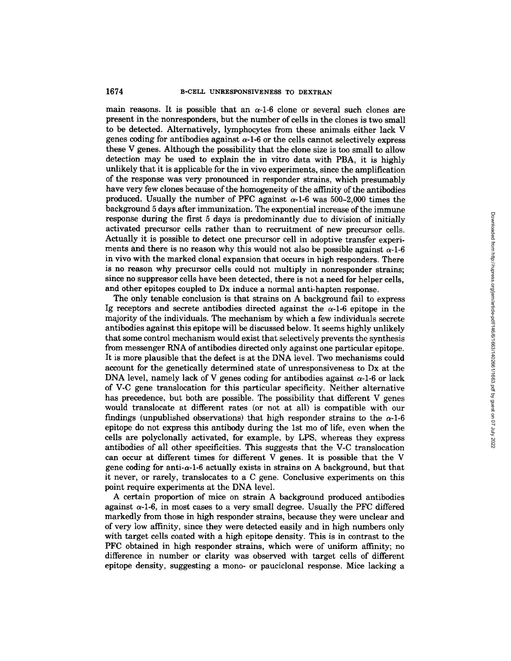## 1674 B-CELL UNRESPONSIVENESS TO DEXTRAN

main reasons. It is possible that an  $\alpha$ -1-6 clone or several such clones are present in the nonresponders, but the number of cells in the clones is two small to be detected. Alternatively, lymphocytes from these animals either lack V genes coding for antibodies against  $\alpha$ -1-6 or the cells cannot selectively express these V genes. Although the possibility that the clone size is too small to allow detection may be used to explain the in vitro data with PBA, it is highly unlikely that it is applicable for the in vivo experiments, since the amplification of the response was very pronounced in responder strains, which presumably have very few clones because of the homogeneity of the affinity of the antibodies produced. Usually the number of PFC against  $\alpha$ -1-6 was 500-2,000 times the background 5 days after immunization. The exponential increase of the immune response during the first 5 days is predominantly due to division of initially activated precursor cells rather than to recruitment of new precursor cells. Actually it is possible to detect one precursor cell in adoptive transfer experiments and there is no reason why this would not also be possible against  $\alpha$ -1-6 in vivo with the marked clonal expansion that occurs in high responders. There is no reason why precursor cells could not multiply in nonresponder strains; since no suppressor cells have been detected, there is not a need for helper cells, and other epitopes coupled to Dx induce a normal anti-hapten response.

The only tenable conclusion is that strains on A background fail to express Ig receptors and secrete antibodies directed against the  $\alpha$ -1-6 epitope in the majority of the individuals. The mechanism by which a few individuals secrete antibodies against this epitope will be discussed below. It seems highly unlikely that some control mechanism would exist that selectively prevents the synthesis from messenger RNA of antibodies directed only against one particular epitope. It is more plausible that the defect is at the DNA level. Two mechanisms could account for the genetically determined state of unresponsiveness to Dx at the DNA level, namely lack of V genes coding for antibodies against  $\alpha$ -1-6 or lack of V-C gene translocation for this particular specificity. Neither alternative has precedence, but both are possible. The possibility that different V genes would translocate at different rates (or not at all) is compatible with our findings (unpublished observations) that high responder strains to the  $\alpha$ -1-6 epitope do not express this antibody during the 1st mo of life, even when the cells are polyclonally activated, for example, by LPS, whereas they express antibodies of all other specificities. This suggests that the V-C translocation can occur at different times for different V genes. It is possible that the V gene coding for anti- $\alpha$ -1-6 actually exists in strains on A background, but that it never, or rarely, translocates to a C gene. Conclusive experiments on this point require experiments at the DNA level.

A certain proportion of mice on strain A background produced antibodies against  $\alpha$ -1-6, in most cases to a very small degree. Usually the PFC differed markedly from those in high responder strains, because they were unclear and of very low affinity, since they were detected easily and in high numbers only with target cells coated with a high epitope density. This is in contrast to the PFC obtained in high responder strains, which were of uniform affinity; no difference in number or clarity was observed with target cells of different epitope density, suggesting a mono- or pauciclonal response. Mice lacking a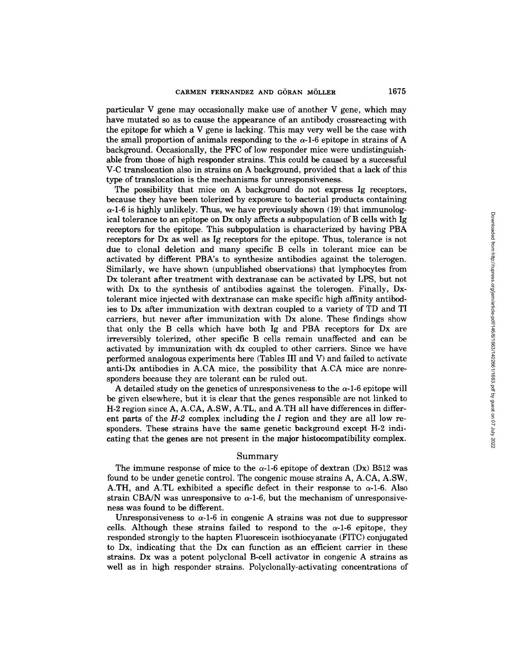particular V gene may occasionally make use of another V gene, which may have mutated so as to cause the appearance of an antibody crossreacting with the epitope for which a V gene is lacking. This may very well be the case with the small proportion of animals responding to the  $\alpha$ -1-6 epitope in strains of A background. Occasionally, the PFC of low responder mice were undistinguishable from those of high responder strains. This could be caused by a successful V-C translocation also in strains on A background, provided that a lack of this type of translocation is the mechanisms for unresponsiveness.

The possibility that mice on A background do not express Ig receptors, because they have been tolerized by exposure to bacterial products containing  $\alpha$ -1-6 is highly unlikely. Thus, we have previously shown (19) that immunological tolerance to an epitope on Dx only affects a subpopulation of B cells with Ig receptors for the epitope. This subpopulation is characterized by having PBA receptors for Dx as well as Ig receptors for the epitope. Thus, tolerance is not due to clonal deletion and many specific B cells in tolerant mice can be activated by different PBA's to synthesize antibodies against the tolerogen. Similarly, we have shown (unpublished observations) that lymphocytes from Dx tolerant after treatment with dextranase can be activated by LPS, but not with Dx to the synthesis of antibodies against the tolerogen. Finally, Dxtolerant mice injected with dextranase can make specific high affinity antibodies to Dx after immunization with dextran coupled to a variety of TD and TI carriers, but never after immunization with Dx alone. These findings show that only the B cells which have both Ig and PBA receptors for Dx are irreversibly tolerized, other specific B cells remain unaffected and can be activated by immunization with dx coupled to other carriers. Since we have performed analogous experiments here (Tables III and V) and failed to activate anti-Dx antibodies in A.CA mice, the possibility that A.CA mice are nonresponders because they are tolerant can be ruled out.

A detailed study on the genetics of unresponsiveness to the  $\alpha$ -1-6 epitope will be given elsewhere, but it is clear that the genes responsible are not linked to H-2 region since A, A.CA, A.SW, A.TL, and A.TH all have differences in different parts of the  $H-2$  complex including the I region and they are all low responders. These strains have the same genetic background except H-2 indicating that the genes are not present in the major histocompatibility complex.

## Summary

The immune response of mice to the  $\alpha$ -1-6 epitope of dextran (Dx) B512 was found to be under genetic control. The congenic mouse strains A, A.CA, A.SW, A.TH, and A.TL exhibited a specific defect in their response to  $\alpha$ -1-6. Also strain CBA/N was unresponsive to  $\alpha$ -1-6, but the mechanism of unresponsiveness was found to be different.

Unresponsiveness to  $\alpha$ -1-6 in congenic A strains was not due to suppressor cells. Although these strains failed to respond to the  $\alpha$ -1-6 epitope, they responded strongly to the hapten Fluorescein isothiocyanate (FITC) conjugated to Dx, indicating that the Dx can function as an efficient carrier in these strains. Dx was a potent polyclonal B-cell activator in congenic A strains as well as in high responder strains. Polyclonally-activating concentrations of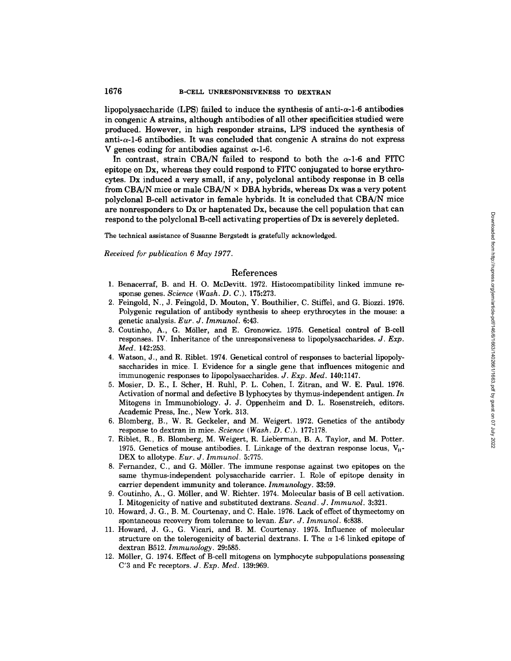lipopolysaccharide (LPS) failed to induce the synthesis of anti $-\alpha$ -1-6 antibodies in congenic A strains, although antibodies of all other specificities studied were produced. However, in high responder strains, LPS induced the synthesis of anti- $\alpha$ -1-6 antibodies. It was concluded that congenic A strains do not express V genes coding for antibodies against  $\alpha$ -1-6.

In contrast, strain CBA/N failed to respond to both the  $\alpha$ -1-6 and FITC epitope on Dx, whereas they could respond to FITC conjugated to horse erythrocytes. Dx induced a very small, if any, polyclonal antibody response in B cells from CBA/N mice or male CBA/N  $\times$  DBA hybrids, whereas Dx was a very potent polyclonal B-cell activator in female hybrids. It is concluded that CBA/N mice are nonresponders to Dx or haptenated Dx, because the cell population that can respond to the polyclonal B-cell activating properties of Dx is severely depleted.

The technical assistance of Susanne Bergstedt is gratefully acknowledged.

*Received for publication 6 May 1977.* 

## References

- 1. Benacerraf, B. and H. O. McDevitt. 1972. Histocompatibility linked immune response genes. *Science (Wash. D. C.).* 175:273.
- 2. Feingold, N., J. Feingold, D. Mouton, Y. Bouthilier, C. Stiffel, and G. Biozzi. 1976. Polygenic regulation of antibody synthesis to sheep erythrocytes in the mouse: a genetic analysis. *Eur. J. Immunol.* 6:43.
- 3. Coutinho, A., G. M611er, and E. Gronowicz. 1975. Genetical control of B-cell responses. IV. Inheritance of the unresponsiveness to lipopolysaccharides. *J. Exp. Med.* 142:253.
- 4. Watson, J., and R. Riblet. 1974. Genetical control of responses to bacterial lipopolysaccharides in mice. I. Evidence for a single gene that influences mitogenic and immunogenic responses to lipopolysaccharides. *J. Exp. Med.* 140:1147.
- 5. Mosier, D. E., I. Scher, H. Ruhl, P. L. Cohen, I. Zitran, and W. E. Paul. 1976. Activation of normal and defective B lyphocytes by thymus-independent antigen. *In*  Mitogens in Immunobiology. J. J. Oppenheim and D. L. Rosenstreich, editors. Academic Press, Inc., New York. 313.
- 6. Blomberg, B., W. R. Geckeler, and M. Weigert. 1972. Genetics of the antibody response to dextran in mice. *Science (Wash. D. C.).* 177:178.
- 7. Riblet, R., B. Blomberg, M. Weigert, R. Lieberman, B. A. Taylor, and M. Potter. 1975. Genetics of mouse antibodies. I. Linkage of the dextran response locus,  $V_H$ -DEX to allotype. *Eur. J. Immunol.* 5:775.
- 8. Fernandez, C., and G. M611er. The immune response against two epitopes on the same thymus-independent polysaccharide carrier. I. Role of epitope density in carrier dependent immunity and tolerance. *Immunology.* 33:59.
- 9. Coutinho, A., G. Möller, and W. Richter. 1974. Molecular basis of B cell activation. I. Mitogenicity of native and substituted dextrans. *Scand. J. Immunol.* 3:321.
- 10. Howard, J. G., B. M. Courtenay, and C. Hale. 1976. Lack of effect of thymectomy on spontaneous recovery from tolerance to levan. *Eur. J. Immunol.* 6:838.
- 11. Howard, J. G., G. Vicari, and B. M. Courtenay. 1975. Influence of molecular structure on the tolerogenicity of bacterial dextrans. I. The  $\alpha$  1-6 linked epitope of dextran B512. *Immunology.* 29:585.
- 12. M611er, G. 1974. Effect of B-cell mitogens on lymphocyte subpopulations possessing C'3 and Fc receptors. *J. Exp. Med.* 139:969.